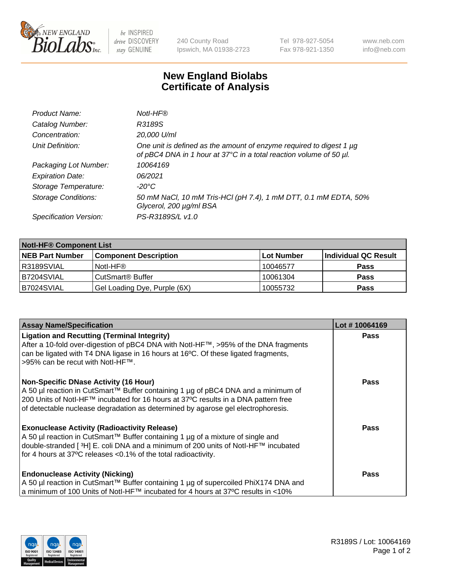

 $be$  INSPIRED drive DISCOVERY stay GENUINE

240 County Road Ipswich, MA 01938-2723 Tel 978-927-5054 Fax 978-921-1350 www.neb.com info@neb.com

## **New England Biolabs Certificate of Analysis**

| Product Name:              | Notl-HF®                                                                                                                                  |
|----------------------------|-------------------------------------------------------------------------------------------------------------------------------------------|
| Catalog Number:            | R3189S                                                                                                                                    |
| Concentration:             | 20,000 U/ml                                                                                                                               |
| Unit Definition:           | One unit is defined as the amount of enzyme required to digest 1 µg<br>of pBC4 DNA in 1 hour at 37°C in a total reaction volume of 50 µl. |
| Packaging Lot Number:      | 10064169                                                                                                                                  |
| <b>Expiration Date:</b>    | 06/2021                                                                                                                                   |
| Storage Temperature:       | $-20^{\circ}$ C                                                                                                                           |
| <b>Storage Conditions:</b> | 50 mM NaCl, 10 mM Tris-HCl (pH 7.4), 1 mM DTT, 0.1 mM EDTA, 50%<br>Glycerol, 200 µg/ml BSA                                                |
| Specification Version:     | PS-R3189S/L v1.0                                                                                                                          |

| <b>Notl-HF® Component List</b> |                              |                   |                      |  |
|--------------------------------|------------------------------|-------------------|----------------------|--|
| <b>NEB Part Number</b>         | <b>Component Description</b> | <b>Lot Number</b> | Individual QC Result |  |
| R3189SVIAL                     | Notl-HF®                     | 10046577          | <b>Pass</b>          |  |
| B7204SVIAL                     | CutSmart <sup>®</sup> Buffer | 10061304          | <b>Pass</b>          |  |
| B7024SVIAL                     | Gel Loading Dye, Purple (6X) | 10055732          | <b>Pass</b>          |  |

| <b>Assay Name/Specification</b>                                                                                                                                                                               | Lot #10064169 |
|---------------------------------------------------------------------------------------------------------------------------------------------------------------------------------------------------------------|---------------|
| <b>Ligation and Recutting (Terminal Integrity)</b>                                                                                                                                                            | <b>Pass</b>   |
| After a 10-fold over-digestion of pBC4 DNA with NotI-HF™, >95% of the DNA fragments<br>can be ligated with T4 DNA ligase in 16 hours at 16°C. Of these ligated fragments,<br>>95% can be recut with Notl-HF™. |               |
| <b>Non-Specific DNase Activity (16 Hour)</b>                                                                                                                                                                  | Pass          |
| A 50 µl reaction in CutSmart™ Buffer containing 1 µg of pBC4 DNA and a minimum of                                                                                                                             |               |
| 200 Units of Notl-HF™ incubated for 16 hours at 37°C results in a DNA pattern free<br>of detectable nuclease degradation as determined by agarose gel electrophoresis.                                        |               |
| <b>Exonuclease Activity (Radioactivity Release)</b>                                                                                                                                                           | Pass          |
| A 50 µl reaction in CutSmart™ Buffer containing 1 µg of a mixture of single and                                                                                                                               |               |
| double-stranded [3H] E. coli DNA and a minimum of 200 units of Notl-HF™ incubated<br>for 4 hours at 37°C releases < 0.1% of the total radioactivity.                                                          |               |
|                                                                                                                                                                                                               |               |
| <b>Endonuclease Activity (Nicking)</b>                                                                                                                                                                        | Pass          |
| A 50 µl reaction in CutSmart™ Buffer containing 1 µg of supercoiled PhiX174 DNA and                                                                                                                           |               |
| a minimum of 100 Units of Notl-HF™ incubated for 4 hours at 37°C results in <10%                                                                                                                              |               |